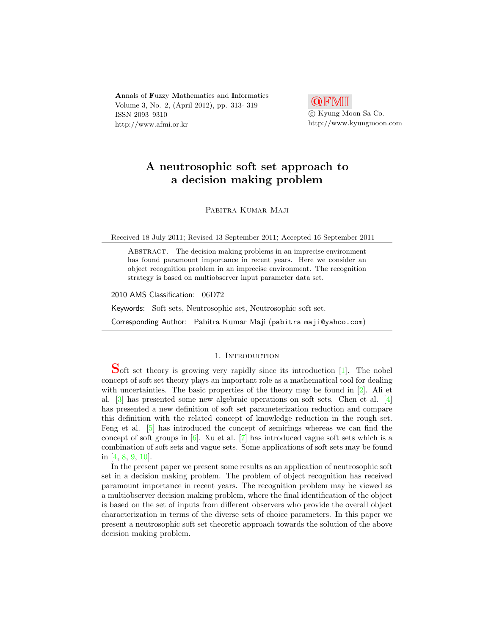Annals of Fuzzy Mathematics and Informatics Volume 3, No. 2, (April 2012), pp. 313- 319 ISSN 2093–9310 http://www.afmi.or.kr



# A neutrosophic soft set approach to a decision making problem

Pabitra Kumar Maji

Received 18 July 2011; Revised 13 September 2011; Accepted 16 September 2011

ABSTRACT. The decision making problems in an imprecise environment has found paramount importance in recent years. Here we consider an object recognition problem in an imprecise environment. The recognition strategy is based on multiobserver input parameter data set.

2010 AMS Classification: 06D72

Keywords: Soft sets, Neutrosophic set, Neutrosophic soft set.

Corresponding Author: Pabitra Kumar Maji (pabitra maji@yahoo.com)

### 1. INTRODUCTION

Soft set theory is growing very rapidly since its introduction [\[1\]](#page-5-0). The nobel concept of soft set theory plays an important role as a mathematical tool for dealing with uncertainties. The basic properties of the theory may be found in  $[2]$ . Ali et al. [\[3\]](#page-5-2) has presented some new algebraic operations on soft sets. Chen et al. [\[4\]](#page-5-3) has presented a new definition of soft set parameterization reduction and compare this definition with the related concept of knowledge reduction in the rough set. Feng et al. [\[5\]](#page-5-4) has introduced the concept of semirings whereas we can find the concept of soft groups in  $[6]$ . Xu et al.  $[7]$  has introduced vague soft sets which is a combination of soft sets and vague sets. Some applications of soft sets may be found in [\[4,](#page-5-3) [8,](#page-6-0) [9,](#page-6-1) [10\]](#page-6-2).

In the present paper we present some results as an application of neutrosophic soft set in a decision making problem. The problem of object recognition has received paramount importance in recent years. The recognition problem may be viewed as a multiobserver decision making problem, where the final identification of the object is based on the set of inputs from different observers who provide the overall object characterization in terms of the diverse sets of choice parameters. In this paper we present a neutrosophic soft set theoretic approach towards the solution of the above decision making problem.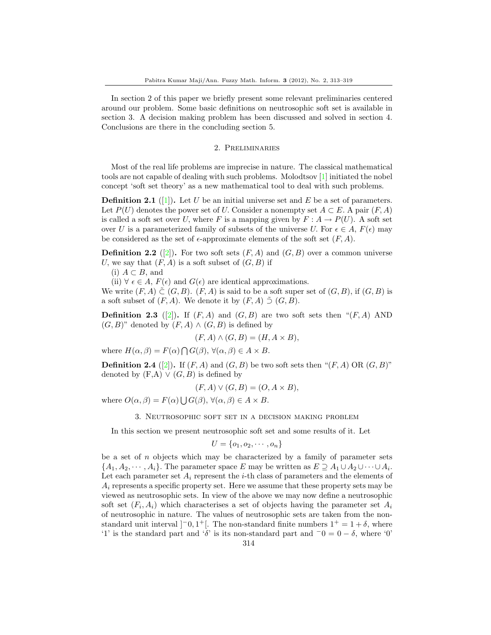In section 2 of this paper we briefly present some relevant preliminaries centered around our problem. Some basic definitions on neutrosophic soft set is available in section 3. A decision making problem has been discussed and solved in section 4. Conclusions are there in the concluding section 5.

#### 2. Preliminaries

Most of the real life problems are imprecise in nature. The classical mathematical tools are not capable of dealing with such problems. Molodtsov [\[1\]](#page-5-0) initiated the nobel concept 'soft set theory' as a new mathematical tool to deal with such problems.

**Definition 2.1** ([\[1\]](#page-5-0)). Let U be an initial universe set and E be a set of parameters. Let  $P(U)$  denotes the power set of U. Consider a nonempty set  $A \subset E$ . A pair  $(F, A)$ is called a soft set over U, where F is a mapping given by  $F: A \to P(U)$ . A soft set over U is a parameterized family of subsets of the universe U. For  $\epsilon \in A$ ,  $F(\epsilon)$  may be considered as the set of  $\epsilon$ -approximate elements of the soft set  $(F, A)$ .

**Definition 2.2** ([\[2\]](#page-5-1)). For two soft sets  $(F, A)$  and  $(G, B)$  over a common universe U, we say that  $(F, A)$  is a soft subset of  $(G, B)$  if

(i)  $A ⊂ B$ , and

(ii)  $\forall \epsilon \in A$ ,  $F(\epsilon)$  and  $G(\epsilon)$  are identical approximations.

We write  $(F, A) \subset (G, B)$ .  $(F, A)$  is said to be a soft super set of  $(G, B)$ , if  $(G, B)$  is a soft subset of  $(F, A)$ . We denote it by  $(F, A) \tilde{\supset} (G, B)$ .

**Definition 2.3** ([\[2\]](#page-5-1)). If  $(F, A)$  and  $(G, B)$  are two soft sets then " $(F, A)$  AND  $(G, B)$ " denoted by  $(F, A) \wedge (G, B)$  is defined by

$$
(F, A) \land (G, B) = (H, A \times B),
$$

where  $H(\alpha, \beta) = F(\alpha) \bigcap G(\beta), \forall (\alpha, \beta) \in A \times B$ .

**Definition 2.4** ([\[2\]](#page-5-1)). If  $(F, A)$  and  $(G, B)$  be two soft sets then " $(F, A)$  OR  $(G, B)$ " denoted by  $(F,A) \vee (G,B)$  is defined by

$$
(F, A) \lor (G, B) = (O, A \times B),
$$

where  $O(\alpha, \beta) = F(\alpha) \bigcup G(\beta), \forall (\alpha, \beta) \in A \times B$ .

3. Neutrosophic soft set in a decision making problem

In this section we present neutrosophic soft set and some results of it. Let

$$
U = \{o_1, o_2, \cdots, o_n\}
$$

be a set of n objects which may be characterized by a family of parameter sets  $\{A_1, A_2, \cdots, A_i\}$ . The parameter space E may be written as  $E \supseteq A_1 \cup A_2 \cup \cdots \cup A_i$ . Let each parameter set  $A_i$  represent the *i*-th class of parameters and the elements of  $A_i$  represents a specific property set. Here we assume that these property sets may be viewed as neutrosophic sets. In view of the above we may now define a neutrosophic soft set  $(F_i, A_i)$  which characterises a set of objects having the parameter set  $A_i$ of neutrosophic in nature. The values of neutrosophic sets are taken from the nonstandard unit interval  $[-0, 1^+]$ . The non-standard finite numbers  $1^+ = 1 + \delta$ , where '1' is the standard part and ' $\delta$ ' is its non-standard part and  $\bar{0} = 0 - \delta$ , where '0'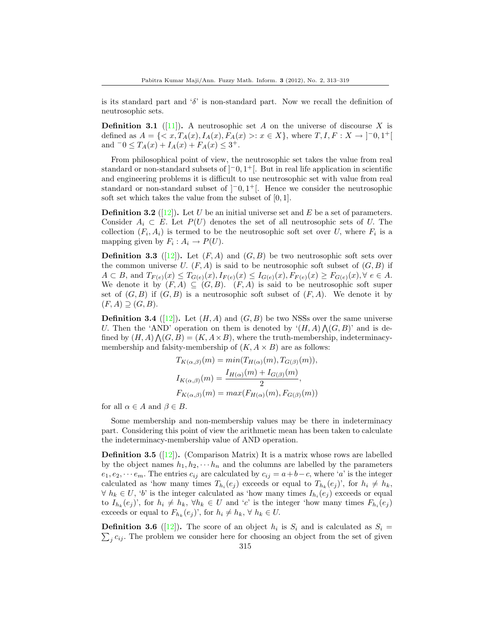is its standard part and ' $\delta$ ' is non-standard part. Now we recall the definition of neutrosophic sets.

**Definition 3.1** ([\[11\]](#page-6-3)). A neutrosophic set A on the universe of discourse X is defined as  $A = \{ \langle x, T_A(x), I_A(x), F_A(x) \rangle : x \in X \}$ , where  $T, I, F: X \to ]-0, 1^+]$ and  $-0 \leq T_A(x) + I_A(x) + F_A(x) \leq 3^+$ .

From philosophical point of view, the neutrosophic set takes the value from real standard or non-standard subsets of  $]$ <sup>-</sup>0, 1<sup>+</sup>[. But in real life application in scientific and engineering problems it is difficult to use neutrosophic set with value from real standard or non-standard subset of  $]$ <sup>-0</sup>, 1<sup>+</sup>[. Hence we consider the neutrosophic soft set which takes the value from the subset of  $[0, 1]$ .

**Definition 3.2** ([\[12\]](#page-6-4)). Let U be an initial universe set and E be a set of parameters. Consider  $A_i \subset E$ . Let  $P(U)$  denotes the set of all neutrosophic sets of U. The collection  $(F_i, A_i)$  is termed to be the neutrosophic soft set over U, where  $F_i$  is a mapping given by  $F_i: A_i \to P(U)$ .

**Definition 3.3** ([\[12\]](#page-6-4)). Let  $(F, A)$  and  $(G, B)$  be two neutrosophic soft sets over the common universe U.  $(F, A)$  is said to be neutrosophic soft subset of  $(G, B)$  if  $A \subset B$ , and  $T_{F(e)}(x) \leq T_{G(e)}(x)$ ,  $I_{F(e)}(x) \leq I_{G(e)}(x)$ ,  $F_{F(e)}(x) \geq F_{G(e)}(x)$ ,  $\forall e \in A$ . We denote it by  $(F, A) \subseteq (G, B)$ .  $(F, A)$  is said to be neutrosophic soft super set of  $(G, B)$  if  $(G, B)$  is a neutrosophic soft subset of  $(F, A)$ . We denote it by  $(F, A) \supseteq (G, B).$ 

**Definition 3.4** ([\[12\]](#page-6-4)). Let  $(H, A)$  and  $(G, B)$  be two NSSs over the same universe U. Then the 'AND' operation on them is denoted by  $(H, A) \wedge (G, B)$ ' and is defined by  $(H, A) \bigwedge (G, B) = (K, A \times B)$ , where the truth-membership, indeterminacymembership and falsity-membership of  $(K, A \times B)$  are as follows:

$$
T_{K(\alpha,\beta)}(m) = min(T_{H(\alpha)}(m), T_{G(\beta)}(m)),
$$
  
\n
$$
I_{K(\alpha,\beta)}(m) = \frac{I_{H(\alpha)}(m) + I_{G(\beta)}(m)}{2},
$$
  
\n
$$
F_{K(\alpha,\beta)}(m) = max(F_{H(\alpha)}(m), F_{G(\beta)}(m))
$$

for all  $\alpha \in A$  and  $\beta \in B$ .

Some membership and non-membership values may be there in indeterminacy part. Considering this point of view the arithmetic mean has been taken to calculate the indeterminacy-membership value of AND operation.

**Definition 3.5** ([\[12\]](#page-6-4)). (Comparison Matrix) It is a matrix whose rows are labelled by the object names  $h_1, h_2, \cdots h_n$  and the columns are labelled by the parameters  $e_1, e_2, \dots e_m$ . The entries  $c_{ij}$  are calculated by  $c_{ij} = a+b-c$ , where 'a' is the integer calculated as 'how many times  $T_{h_i}(e_j)$  exceeds or equal to  $T_{h_k}(e_j)$ ', for  $h_i \neq h_k$ ,  $\forall h_k \in U, \forall b$  is the integer calculated as 'how many times  $I_{h_i}(e_j)$  exceeds or equal to  $I_{h_k}(e_j)$ ', for  $h_i \neq h_k$ ,  $\forall h_k \in U$  and 'c' is the integer 'how many times  $F_{h_i}(e_j)$ exceeds or equal to  $F_{h_k}(e_j)$ ', for  $h_i \neq h_k$ ,  $\forall h_k \in U$ .

**Definition 3.6** ([\[12\]](#page-6-4)). The score of an object  $h_i$  is  $S_i$  and is calculated as  $S_i$  =  $\sum_j c_{ij}$ . The problem we consider here for choosing an object from the set of given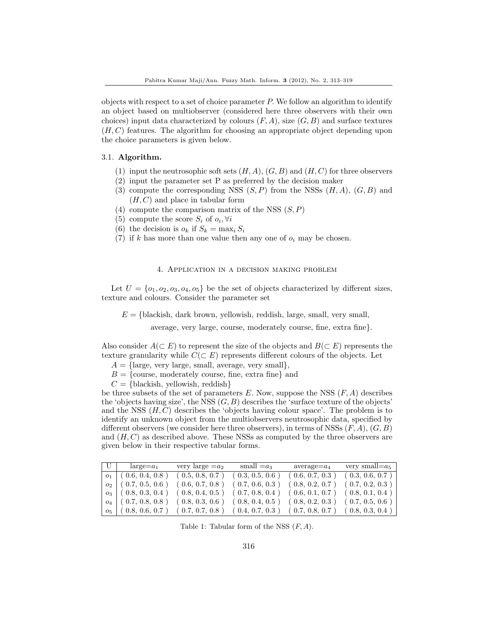objects with respect to a set of choice parameter  $P$ . We follow an algorithm to identify an object based on multiobserver (considered here three observers with their own choices) input data characterized by colours  $(F, A)$ , size  $(G, B)$  and surface textures  $(H, C)$  features. The algorithm for choosing an appropriate object depending upon the choice parameters is given below.

# 3.1. Algorithm.

- (1) input the neutrosophic soft sets  $(H, A), (G, B)$  and  $(H, C)$  for three observers
- (2) input the parameter set P as preferred by the decision maker
- (3) compute the corresponding NSS  $(S, P)$  from the NSSs  $(H, A)$ ,  $(G, B)$  and  $(H, C)$  and place in tabular form
- (4) compute the comparison matrix of the NSS  $(S, P)$
- (5) compute the score  $S_i$  of  $o_i, \forall i$
- (6) the decision is  $o_k$  if  $S_k = \max_i S_i$
- (7) if k has more than one value then any one of  $o_i$  may be chosen.

# 4. Application in a decision making problem

Let  $U = \{o_1, o_2, o_3, o_4, o_5\}$  be the set of objects characterized by different sizes, texture and colours. Consider the parameter set

 $E = \{\text{blackish}, \text{dark brown}, \text{yellowish}, \text{reddish}, \text{large}, \text{small}, \text{very small}, \text{very} \}$ 

average, very large, course, moderately course, fine, extra fine}.

Also consider  $A(\subset E)$  to represent the size of the objects and  $B(\subset E)$  represents the texture granularity while  $C(\subset E)$  represents different colours of the objects. Let

- $A = \{\text{large, very large, small, average, very small}\},\$
- $B = \{\text{course}, \text{ moderately course}, \text{ fine}, \text{ extra fine}\}\$ and
- $C = \{\text{blackish}, \text{yellowish}, \text{reddish}\}\$

be three subsets of the set of parameters  $E$ . Now, suppose the NSS  $(F, A)$  describes the 'objects having size', the NSS  $(G, B)$  describes the 'surface texture of the objects' and the NSS  $(H, C)$  describes the 'objects having colour space'. The problem is to identify an unknown object from the multiobservers neutrosophic data, specified by different observers (we consider here three observers), in terms of NSSs  $(F, A), (G, B)$ and  $(H, C)$  as described above. These NSSs as computed by the three observers are given below in their respective tabular forms.

| U | $large=a_1$           |                 | very large $=a_2$ small $=a_3$ average $=a_4$ very small $=a_5$                       |                 |                                                       |
|---|-----------------------|-----------------|---------------------------------------------------------------------------------------|-----------------|-------------------------------------------------------|
|   | $o_1$ (0.6, 0.4, 0.8) | (0.5, 0.8, 0.7) | (0.3, 0.5, 0.6)                                                                       | (0.6, 0.7, 0.3) | (0.3, 0.6, 0.7)                                       |
|   | $o_2$ (0.7, 0.5, 0.6) | (0.6, 0.7, 0.8) |                                                                                       |                 | $(0.7, 0.6, 0.3)$ $(0.8, 0.2, 0.7)$ $(0.7, 0.2, 0.3)$ |
|   |                       |                 | $o_3$ (0.8, 0.3, 0.4) (0.8, 0.4, 0.5) (0.7, 0.8, 0.4) (0.6, 0.1, 0.7) (0.8, 0.1, 0.4) |                 |                                                       |
|   |                       |                 | $o_4$ (0.7, 0.8, 0.8) (0.8, 0.3, 0.6) (0.8, 0.4, 0.5) (0.8, 0.2, 0.3) (0.7, 0.5, 0.6) |                 |                                                       |
|   |                       |                 | $o_5$ (0.8, 0.6, 0.7) (0.7, 0.7, 0.8) (0.4, 0.7, 0.3) (0.7, 0.8, 0.7) (0.8, 0.3, 0.4) |                 |                                                       |

Table 1: Tabular form of the NSS  $(F, A)$ .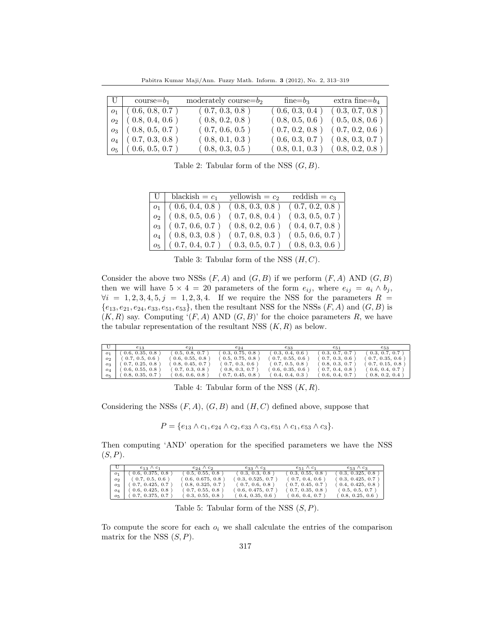Pabitra Kumar Maji/Ann. Fuzzy Math. Inform. 3 (2012), No. 2, 313–319

| $ U $ course= $b_1$     | moderately course= $b_2$ | $fine = b_3$ | extra fine= $b_4$                   |
|-------------------------|--------------------------|--------------|-------------------------------------|
| $o_1$ (0.6, 0.8, 0.7)   | (0.7, 0.3, 0.8)          |              | $(0.6, 0.3, 0.4)$ $(0.3, 0.7, 0.8)$ |
| $o_2$ (0.8, 0.4, 0.6)   | (0.8, 0.2, 0.8)          |              | $(0.8, 0.5, 0.6)$ $(0.5, 0.8, 0.6)$ |
| $o_3$   (0.8, 0.5, 0.7) | (0.7, 0.6, 0.5)          |              | $(0.7, 0.2, 0.8)$ $(0.7, 0.2, 0.6)$ |
| $o_4$ (0.7, 0.3, 0.8)   | (0.8, 0.1, 0.3)          |              | $(0.6, 0.3, 0.7)$ $(0.8, 0.3, 0.7)$ |
| $o_5$   (0.6, 0.5, 0.7) | (0.8, 0.3, 0.5)          |              | $(0.8, 0.1, 0.3)$ $(0.8, 0.2, 0.8)$ |

Table 2: Tabular form of the NSS  $(G, B)$ .

| $\overline{U}$   blackish = $c_1$ | yellowish = $c_2$ | reddish = $c_3$ |
|-----------------------------------|-------------------|-----------------|
| $o_1$ (0.6, 0.4, 0.8)             | (0.8, 0.3, 0.8)   | (0.7, 0.2, 0.8) |
| $o_2$   (0.8, 0.5, 0.6)           | (0.7, 0.8, 0.4)   | (0.3, 0.5, 0.7) |
| $o_3$   (0.7, 0.6, 0.7)           | (0.8, 0.2, 0.6)   | (0.4, 0.7, 0.8) |
| $o_4$ (0.8, 0.3, 0.8)             | (0.7, 0.8, 0.3)   | (0.5, 0.6, 0.7) |
| $o_5$   (0.7, 0.4, 0.7)           | (0.3, 0.5, 0.7)   | (0.8, 0.3, 0.6) |

Table 3: Tabular form of the NSS  $(H, C)$ .

Consider the above two NSSs  $(F, A)$  and  $(G, B)$  if we perform  $(F, A)$  AND  $(G, B)$ then we will have  $5 \times 4 = 20$  parameters of the form  $e_{ij}$ , where  $e_{ij} = a_i \wedge b_j$ ,  $\forall i = 1, 2, 3, 4, 5, j = 1, 2, 3, 4$ . If we require the NSS for the parameters  $R =$  ${e_{13}, e_{21}, e_{24}, e_{33}, e_{51}, e_{53}}$ , then the resultant NSS for the NSSs  $(F, A)$  and  $(G, B)$  is  $(K, R)$  say. Computing ' $(F, A)$  AND  $(G, B)$ ' for the choice parameters R, we have the tabular representation of the resultant NSS  $(K, R)$  as below.

|                | $e_{13}$                 | $e_{21}$        | $e_{24}$         | $e_{33}$         | $e_{51}$        | $e_{53}$                                                                 |
|----------------|--------------------------|-----------------|------------------|------------------|-----------------|--------------------------------------------------------------------------|
| O <sub>1</sub> | 0.6, 0.35, 0.8)          | (0.5, 0.8, 0.7) | 0.3, 0.75, 0.8   | (0.3, 0.4, 0.6)  | (0.3, 0.7, 0.7) | (0.3, 0.7, 0.7)                                                          |
|                | $o_2$ (0.7, 0.5, 0.6)    | 0.6, 0.55, 0.8  | (0.5, 0.75, 0.8) | (0.7, 0.55, 0.6) | (0.7, 0.3, 0.6) | (0.7, 0.35, 0.6)                                                         |
| $O_3$          | (0.7, 0.25, 0.8)         | 0.8, 0.45, 0.7) | (0.7, 0.3, 0.6)  | (0.7, 0.5, 0.8)  | (0.8, 0.3, 0.7) | $( \hspace{1mm} 0.7, \hspace{1mm} 0.15, \hspace{1mm} 0.8 \hspace{1mm} )$ |
|                | $o_4$ (0.6, 0.55, 0.8)   | (0.7, 0.3, 0.8) | (0.8, 0.3, 0.7)  | (0.6, 0.35, 0.6) | (0.7, 0.4, 0.8) | (0.6, 0.4, 0.7)                                                          |
|                | $o_5$   (0.8, 0.35, 0.7) | (0.6, 0.6, 0.8) | (0.7, 0.45, 0.8) | (0.4, 0.4, 0.3)  | (0.6, 0.4, 0.7) | (0.8, 0.2, 0.4)                                                          |

Table 4: Tabular form of the NSS  $(K, R)$ .

Considering the NSSs  $(F, A), (G, B)$  and  $(H, C)$  defined above, suppose that

 $P = \{e_{13} \wedge c_1, e_{24} \wedge c_2, e_{33} \wedge c_3, e_{51} \wedge c_1, e_{53} \wedge c_3\}.$ 

Then computing 'AND' operation for the specified parameters we have the NSS  $(S, P)$ .

|                | $e_{13} \wedge c_{1}$ | $e_{24} \wedge c_{2}$ | $e_{33} \wedge c_{3}$ | $e_{51} \wedge c_1$              | $e_{53} \wedge c_3$ |
|----------------|-----------------------|-----------------------|-----------------------|----------------------------------|---------------------|
| O <sub>1</sub> | 0.6, 0.375, 0.8)      | (0.5, 0.55, 0.8)      | (0.3, 0.3, 0.8)       | $\langle 0.3, 0.55, 0.8 \rangle$ | (0.3, 0.325, 0.8)   |
| O <sub>2</sub> | (0.7, 0.5, 0.6)       | (0.6, 0.675, 0.8)     | $\{0.3, 0.525, 0.7\}$ | (0.7, 0.4, 0.6)                  | (0.3, 0.425, 0.7)   |
| 03             | (0.7, 0.425, 0.7)     | (0.8, 0.325, 0.7)     | (0.7, 0.6, 0.8)       | (0.7, 0.45, 0.7)                 | (0.4, 0.425, 0.8)   |
| $O_A$          | 0.6, 0.425, 0.8)      | (0.7, 0.55, 0.8)      | (0.6, 0.475, 0.7)     | (0.7, 0.35, 0.8)                 | (0.5, 0.5, 0.7)     |
| 05.            | $0.7, 0.375, 0.7$ )   | 0.3, 0.55, 0.8)       | (0.4, 0.35, 0.6)      | (0.6, 0.4, 0.7)                  | (0.8, 0.25, 0.6)    |

Table 5: Tabular form of the NSS  $(S, P)$ .

To compute the score for each  $o_i$  we shall calculate the entries of the comparison matrix for the NSS  $(S, P)$ .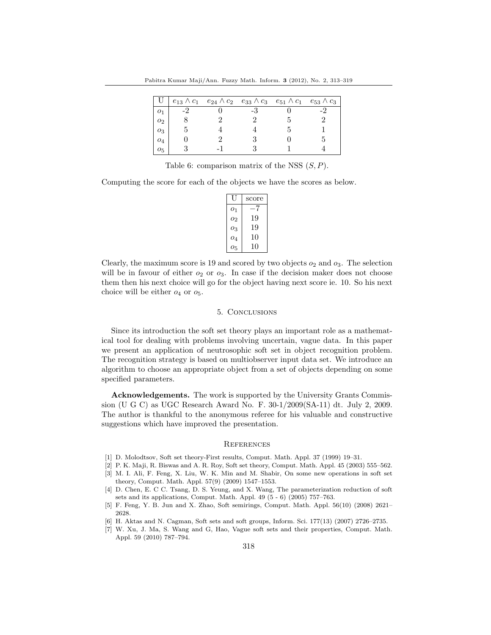|               |  |  | $e_{13} \wedge c_1$ $e_{24} \wedge c_2$ $e_{33} \wedge c_3$ $e_{51} \wedge c_1$ $e_{53} \wedge c_3$ |
|---------------|--|--|-----------------------------------------------------------------------------------------------------|
|               |  |  |                                                                                                     |
| 02            |  |  |                                                                                                     |
| $o_3$         |  |  |                                                                                                     |
| 04            |  |  |                                                                                                     |
| $O_{\bar{5}}$ |  |  |                                                                                                     |

Table 6: comparison matrix of the NSS  $(S, P)$ .

Computing the score for each of the objects we have the scores as below.

|         | score |
|---------|-------|
| 01      | -7    |
| 02      | 19    |
| 03      | 19    |
| 04      | 10    |
| $O_{5}$ | 10    |

Clearly, the maximum score is 19 and scored by two objects  $o_2$  and  $o_3$ . The selection will be in favour of either  $o_2$  or  $o_3$ . In case if the decision maker does not choose them then his next choice will go for the object having next score ie. 10. So his next choice will be either  $o_4$  or  $o_5$ .

#### 5. Conclusions

Since its introduction the soft set theory plays an important role as a mathematical tool for dealing with problems involving uncertain, vague data. In this paper we present an application of neutrosophic soft set in object recognition problem. The recognition strategy is based on multiobserver input data set. We introduce an algorithm to choose an appropriate object from a set of objects depending on some specified parameters.

Acknowledgements. The work is supported by the University Grants Commission (U G C) as UGC Research Award No. F. 30-1/2009(SA-11) dt. July 2, 2009. The author is thankful to the anonymous referee for his valuable and constructive suggestions which have improved the presentation.

#### **REFERENCES**

- <span id="page-5-0"></span>[1] D. Molodtsov, Soft set theory-First results, Comput. Math. Appl. 37 (1999) 19–31.
- <span id="page-5-2"></span><span id="page-5-1"></span>[2] P. K. Maji, R. Biswas and A. R. Roy, Soft set theory, Comput. Math. Appl. 45 (2003) 555–562. [3] M. I. Ali, F. Feng, X. Liu, W. K. Min and M. Shabir, On some new operations in soft set
- theory, Comput. Math. Appl. 57(9) (2009) 1547–1553.
- <span id="page-5-3"></span>[4] D. Chen, E. C C. Tsang, D. S. Yeung, and X. Wang, The parameterization reduction of soft sets and its applications, Comput. Math. Appl. 49 (5 - 6) (2005) 757–763.
- <span id="page-5-4"></span>[5] F. Feng, Y. B. Jun and X. Zhao, Soft semirings, Comput. Math. Appl. 56(10) (2008) 2621– 2628.
- <span id="page-5-5"></span>[6] H. Aktas and N. Cagman, Soft sets and soft groups, Inform. Sci. 177(13) (2007) 2726–2735.
- <span id="page-5-6"></span>[7] W. Xu, J. Ma, S. Wang and G, Hao, Vague soft sets and their properties, Comput. Math. Appl. 59 (2010) 787–794.